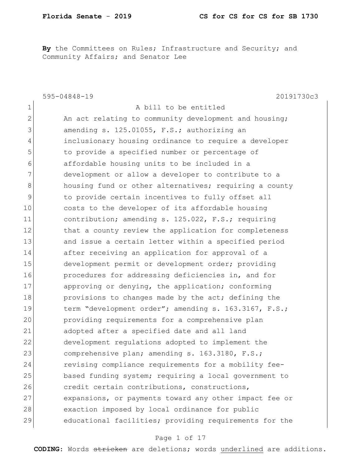By the Committees on Rules; Infrastructure and Security; and Community Affairs; and Senator Lee

|              | $595 - 04848 - 19$<br>20191730c3                       |
|--------------|--------------------------------------------------------|
| $\mathbf{1}$ | A bill to be entitled                                  |
| $\mathbf{2}$ | An act relating to community development and housing;  |
| 3            | amending s. 125.01055, F.S.; authorizing an            |
| 4            | inclusionary housing ordinance to require a developer  |
| 5            | to provide a specified number or percentage of         |
| 6            | affordable housing units to be included in a           |
| 7            | development or allow a developer to contribute to a    |
| 8            | housing fund or other alternatives; requiring a county |
| 9            | to provide certain incentives to fully offset all      |
| 10           | costs to the developer of its affordable housing       |
| 11           | contribution; amending s. 125.022, F.S.; requiring     |
| 12           | that a county review the application for completeness  |
| 13           | and issue a certain letter within a specified period   |
| 14           | after receiving an application for approval of a       |
| 15           | development permit or development order; providing     |
| 16           | procedures for addressing deficiencies in, and for     |
| 17           | approving or denying, the application; conforming      |
| 18           | provisions to changes made by the act; defining the    |
| 19           | term "development order"; amending s. 163.3167, F.S.;  |
| 20           | providing requirements for a comprehensive plan        |
| 21           | adopted after a specified date and all land            |
| 22           | development regulations adopted to implement the       |
| 23           | comprehensive plan; amending s. 163.3180, F.S.;        |
| 24           | revising compliance requirements for a mobility fee-   |
| 25           | based funding system; requiring a local government to  |
| 26           | credit certain contributions, constructions,           |
| 27           | expansions, or payments toward any other impact fee or |
| 28           | exaction imposed by local ordinance for public         |
| 29           | educational facilities; providing requirements for the |

## Page 1 of 17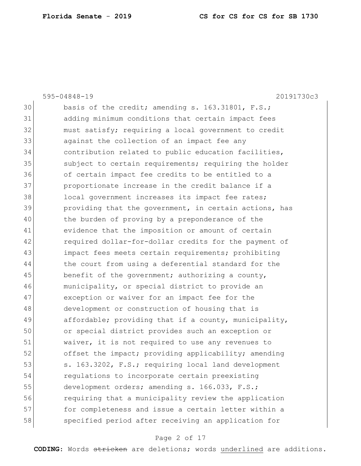|    | 595-04848-19<br>20191730c3                             |
|----|--------------------------------------------------------|
| 30 | basis of the credit; amending s. 163.31801, F.S.;      |
| 31 | adding minimum conditions that certain impact fees     |
| 32 | must satisfy; requiring a local government to credit   |
| 33 | against the collection of an impact fee any            |
| 34 | contribution related to public education facilities,   |
| 35 | subject to certain requirements; requiring the holder  |
| 36 | of certain impact fee credits to be entitled to a      |
| 37 | proportionate increase in the credit balance if a      |
| 38 | local government increases its impact fee rates;       |
| 39 | providing that the government, in certain actions, has |
| 40 | the burden of proving by a preponderance of the        |
| 41 | evidence that the imposition or amount of certain      |
| 42 | required dollar-for-dollar credits for the payment of  |
| 43 | impact fees meets certain requirements; prohibiting    |
| 44 | the court from using a deferential standard for the    |
| 45 | benefit of the government; authorizing a county,       |
| 46 | municipality, or special district to provide an        |
| 47 | exception or waiver for an impact fee for the          |
| 48 | development or construction of housing that is         |
| 49 | affordable; providing that if a county, municipality,  |
| 50 | or special district provides such an exception or      |
| 51 | waiver, it is not required to use any revenues to      |
| 52 | offset the impact; providing applicability; amending   |
| 53 | s. 163.3202, F.S.; requiring local land development    |
| 54 | regulations to incorporate certain preexisting         |
| 55 | development orders; amending s. 166.033, F.S.;         |
| 56 | requiring that a municipality review the application   |
| 57 | for completeness and issue a certain letter within a   |
| 58 | specified period after receiving an application for    |
|    |                                                        |

# Page 2 of 17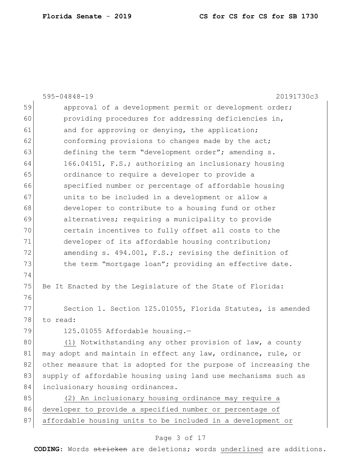|    | 20191730c3<br>$595 - 04848 - 19$                                |
|----|-----------------------------------------------------------------|
| 59 | approval of a development permit or development order;          |
| 60 | providing procedures for addressing deficiencies in,            |
| 61 | and for approving or denying, the application;                  |
| 62 | conforming provisions to changes made by the act;               |
| 63 | defining the term "development order"; amending s.              |
| 64 | 166.04151, F.S.; authorizing an inclusionary housing            |
| 65 | ordinance to require a developer to provide a                   |
| 66 | specified number or percentage of affordable housing            |
| 67 | units to be included in a development or allow a                |
| 68 | developer to contribute to a housing fund or other              |
| 69 | alternatives; requiring a municipality to provide               |
| 70 | certain incentives to fully offset all costs to the             |
| 71 | developer of its affordable housing contribution;               |
| 72 | amending s. 494.001, F.S.; revising the definition of           |
| 73 | the term "mortgage loan"; providing an effective date.          |
| 74 |                                                                 |
| 75 | Be It Enacted by the Legislature of the State of Florida:       |
| 76 |                                                                 |
| 77 | Section 1. Section 125.01055, Florida Statutes, is amended      |
| 78 | to read:                                                        |
| 79 | 125.01055 Affordable housing.-                                  |
| 80 | (1) Notwithstanding any other provision of law, a county        |
| 81 | may adopt and maintain in effect any law, ordinance, rule, or   |
| 82 | other measure that is adopted for the purpose of increasing the |
| 83 | supply of affordable housing using land use mechanisms such as  |
| 84 | inclusionary housing ordinances.                                |
| 85 | (2) An inclusionary housing ordinance may require a             |
| 86 | developer to provide a specified number or percentage of        |
| 87 | affordable housing units to be included in a development or     |

# Page 3 of 17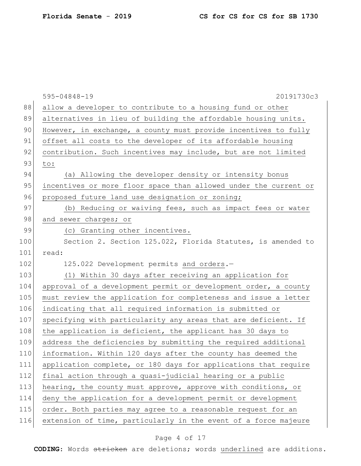|     | $595 - 04848 - 19$<br>20191730c3                                 |
|-----|------------------------------------------------------------------|
| 88  | allow a developer to contribute to a housing fund or other       |
| 89  | alternatives in lieu of building the affordable housing units.   |
| 90  | However, in exchange, a county must provide incentives to fully  |
| 91  | offset all costs to the developer of its affordable housing      |
| 92  | contribution. Such incentives may include, but are not limited   |
| 93  | to:                                                              |
| 94  | (a) Allowing the developer density or intensity bonus            |
| 95  | incentives or more floor space than allowed under the current or |
| 96  | proposed future land use designation or zoning;                  |
| 97  | (b) Reducing or waiving fees, such as impact fees or water       |
| 98  | and sewer charges; or                                            |
| 99  | (c) Granting other incentives.                                   |
| 100 | Section 2. Section 125.022, Florida Statutes, is amended to      |
| 101 | read:                                                            |
| 102 | 125.022 Development permits and orders.-                         |
| 103 | (1) Within 30 days after receiving an application for            |
| 104 | approval of a development permit or development order, a county  |
| 105 | must review the application for completeness and issue a letter  |
| 106 | indicating that all required information is submitted or         |
| 107 | specifying with particularity any areas that are deficient. If   |
| 108 | the application is deficient, the applicant has 30 days to       |
| 109 | address the deficiencies by submitting the required additional   |
| 110 | information. Within 120 days after the county has deemed the     |
| 111 | application complete, or 180 days for applications that require  |
| 112 | final action through a quasi-judicial hearing or a public        |
| 113 | hearing, the county must approve, approve with conditions, or    |
| 114 | deny the application for a development permit or development     |
| 115 | order. Both parties may agree to a reasonable request for an     |
| 116 | extension of time, particularly in the event of a force majeure  |

# Page 4 of 17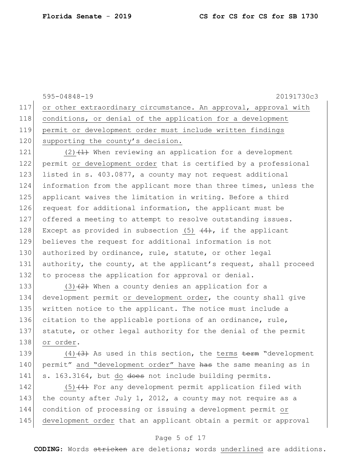595-04848-19 20191730c3 117 or other extraordinary circumstance. An approval, approval with 118 conditions, or denial of the application for a development 119 permit or development order must include written findings 120 supporting the county's decision. 121 (2) $(1)$  When reviewing an application for a development 122 permit or development order that is certified by a professional 123 listed in s. 403.0877, a county may not request additional 124 information from the applicant more than three times, unless the 125 applicant waives the limitation in writing. Before a third 126 request for additional information, the applicant must be 127 offered a meeting to attempt to resolve outstanding issues. 128 Except as provided in subsection (5)  $\left(4\right)$ , if the applicant 129 believes the request for additional information is not 130 authorized by ordinance, rule, statute, or other legal 131 authority, the county, at the applicant's request, shall proceed 132 to process the application for approval or denial. 133 (3) $(2)$  When a county denies an application for a 134 development permit or development order, the county shall give 135 written notice to the applicant. The notice must include a 136 citation to the applicable portions of an ordinance, rule, 137 statute, or other legal authority for the denial of the permit 138 or order. 139  $(4)$   $(3)$  As used in this section, the terms term "development"

140 permit" and "development order" have has the same meaning as in 141 s. 163.3164, but do does not include building permits.

 $(5)$   $(4)$  For any development permit application filed with 143 the county after July 1, 2012, a county may not require as a condition of processing or issuing a development permit or development order that an applicant obtain a permit or approval

### Page 5 of 17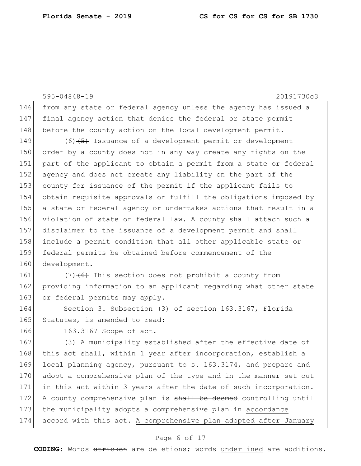595-04848-19 20191730c3 146 from any state or federal agency unless the agency has issued a 147 final agency action that denies the federal or state permit 148 before the county action on the local development permit. 149 (6)<del>(5)</del> Issuance of a development permit or development 150 order by a county does not in any way create any rights on the 151 part of the applicant to obtain a permit from a state or federal 152 agency and does not create any liability on the part of the 153 county for issuance of the permit if the applicant fails to 154 obtain requisite approvals or fulfill the obligations imposed by 155 a state or federal agency or undertakes actions that result in a 156 violation of state or federal law. A county shall attach such a 157 disclaimer to the issuance of a development permit and shall 158 include a permit condition that all other applicable state or 159 federal permits be obtained before commencement of the 160 development. 161  $(7)$   $(6)$  This section does not prohibit a county from 162 providing information to an applicant regarding what other state 163 or federal permits may apply. 164 Section 3. Subsection (3) of section 163.3167, Florida 165 Statutes, is amended to read: 166 163.3167 Scope of act. 167 (3) A municipality established after the effective date of 168 this act shall, within 1 year after incorporation, establish a 169 local planning agency, pursuant to s. 163.3174, and prepare and 170 adopt a comprehensive plan of the type and in the manner set out 171 in this act within 3 years after the date of such incorporation.

172 A county comprehensive plan is shall be deemed controlling until 173 the municipality adopts a comprehensive plan in accordance 174 accord with this act. A comprehensive plan adopted after January

### Page 6 of 17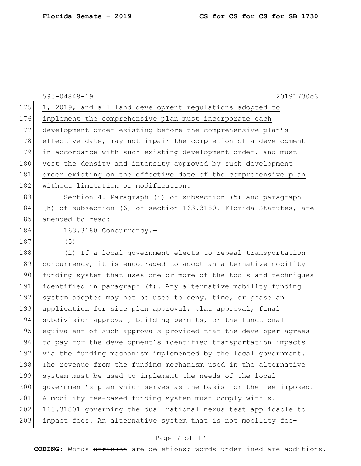595-04848-19 20191730c3 175 1, 2019, and all land development regulations adopted to 176 implement the comprehensive plan must incorporate each 177 development order existing before the comprehensive plan's 178 effective date, may not impair the completion of a development 179 in accordance with such existing development order, and must 180 vest the density and intensity approved by such development 181 order existing on the effective date of the comprehensive plan 182 | without limitation or modification. 183 Section 4. Paragraph (i) of subsection (5) and paragraph 184 (h) of subsection (6) of section 163.3180, Florida Statutes, are 185 amended to read: 186 163.3180 Concurrency.-187 (5) 188 (i) If a local government elects to repeal transportation 189 concurrency, it is encouraged to adopt an alternative mobility 190 funding system that uses one or more of the tools and techniques 191 identified in paragraph (f). Any alternative mobility funding 192 system adopted may not be used to deny, time, or phase an 193 application for site plan approval, plat approval, final 194 subdivision approval, building permits, or the functional 195 equivalent of such approvals provided that the developer agrees 196 to pay for the development's identified transportation impacts 197 via the funding mechanism implemented by the local government. 198 The revenue from the funding mechanism used in the alternative 199 system must be used to implement the needs of the local 200 government's plan which serves as the basis for the fee imposed. 201 A mobility fee-based funding system must comply with s. 202 163.31801 governing the dual rational nexus test applicable to 203 impact fees. An alternative system that is not mobility fee-

### Page 7 of 17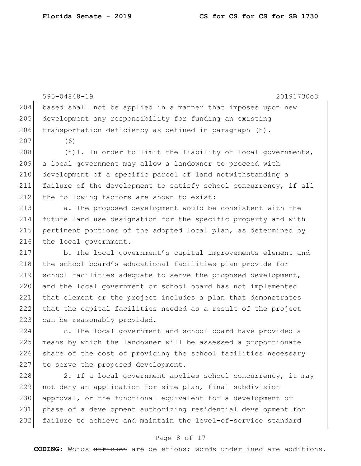595-04848-19 20191730c3 204 based shall not be applied in a manner that imposes upon new 205 development any responsibility for funding an existing 206 transportation deficiency as defined in paragraph  $(h)$ . 207 (6)  $208$  (h)1. In order to limit the liability of local governments, 209 a local government may allow a landowner to proceed with 210 development of a specific parcel of land notwithstanding a 211 failure of the development to satisfy school concurrency, if all 212 the following factors are shown to exist: 213 a. The proposed development would be consistent with the 214 future land use designation for the specific property and with 215 pertinent portions of the adopted local plan, as determined by 216 the local government. 217 b. The local government's capital improvements element and 218 the school board's educational facilities plan provide for 219 school facilities adequate to serve the proposed development, 220 and the local government or school board has not implemented 221 that element or the project includes a plan that demonstrates 222 that the capital facilities needed as a result of the project 223 can be reasonably provided. 224 c. The local government and school board have provided a 225 means by which the landowner will be assessed a proportionate 226 share of the cost of providing the school facilities necessary 227 to serve the proposed development. 228 28. If a local government applies school concurrency, it may 229 not deny an application for site plan, final subdivision 230 approval, or the functional equivalent for a development or 231 phase of a development authorizing residential development for

#### Page 8 of 17

232 failure to achieve and maintain the level-of-service standard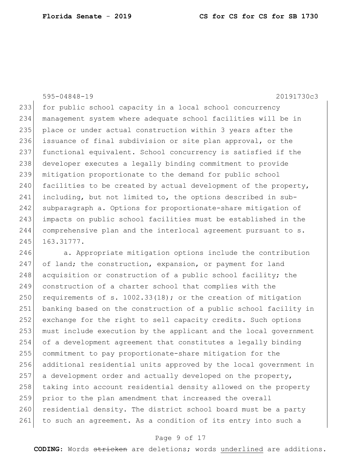595-04848-19 20191730c3

233 for public school capacity in a local school concurrency management system where adequate school facilities will be in 235 place or under actual construction within 3 years after the 236 issuance of final subdivision or site plan approval, or the functional equivalent. School concurrency is satisfied if the developer executes a legally binding commitment to provide mitigation proportionate to the demand for public school 240 facilities to be created by actual development of the property, including, but not limited to, the options described in sub- subparagraph a. Options for proportionate-share mitigation of impacts on public school facilities must be established in the comprehensive plan and the interlocal agreement pursuant to s. 245 163.31777.

246 a. Appropriate mitigation options include the contribution of land; the construction, expansion, or payment for land 248 acquisition or construction of a public school facility; the construction of a charter school that complies with the 250 requirements of s. 1002.33(18); or the creation of mitigation banking based on the construction of a public school facility in exchange for the right to sell capacity credits. Such options must include execution by the applicant and the local government of a development agreement that constitutes a legally binding commitment to pay proportionate-share mitigation for the additional residential units approved by the local government in a development order and actually developed on the property, 258 taking into account residential density allowed on the property prior to the plan amendment that increased the overall 260 residential density. The district school board must be a party 261 to such an agreement. As a condition of its entry into such a

#### Page 9 of 17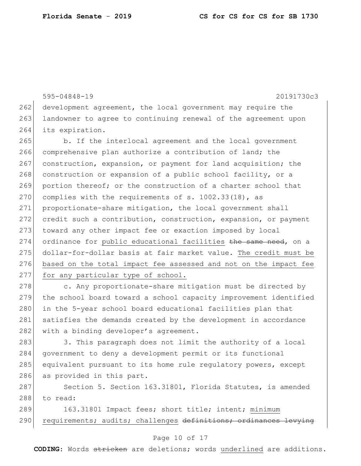595-04848-19 20191730c3 262 development agreement, the local government may require the 263 landowner to agree to continuing renewal of the agreement upon 264 its expiration. 265 b. If the interlocal agreement and the local government 266 comprehensive plan authorize a contribution of land; the 267 construction, expansion, or payment for land acquisition; the 268 construction or expansion of a public school facility, or a 269 portion thereof; or the construction of a charter school that 270 complies with the requirements of  $s. 1002.33(18)$ , as 271 proportionate-share mitigation, the local government shall 272 credit such a contribution, construction, expansion, or payment 273 toward any other impact fee or exaction imposed by local 274 ordinance for public educational facilities the same need, on a 275 dollar-for-dollar basis at fair market value. The credit must be 276 based on the total impact fee assessed and not on the impact fee 277 for any particular type of school. 278 c. Any proportionate-share mitigation must be directed by

279 the school board toward a school capacity improvement identified 280 in the 5-year school board educational facilities plan that 281 satisfies the demands created by the development in accordance 282 with a binding developer's agreement.

283 3. This paragraph does not limit the authority of a local 284 government to deny a development permit or its functional 285 equivalent pursuant to its home rule regulatory powers, except 286 as provided in this part.

287 Section 5. Section 163.31801, Florida Statutes, is amended 288 to read:

289 163.31801 Impact fees; short title; intent; minimum 290 requirements; audits; challenges definitions; ordinances levying

### Page 10 of 17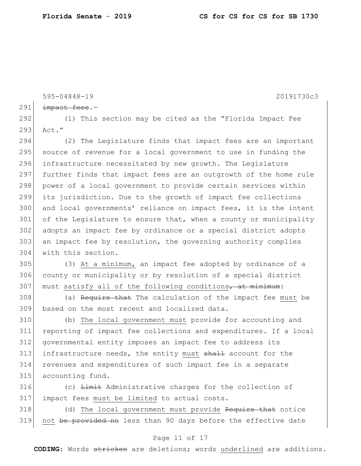595-04848-19 20191730c3  $291$  impact fees. 292 (1) This section may be cited as the "Florida Impact Fee 293 Act." 294 (2) The Legislature finds that impact fees are an important 295 source of revenue for a local government to use in funding the 296 infrastructure necessitated by new growth. The Legislature 297 further finds that impact fees are an outgrowth of the home rule 298 power of a local government to provide certain services within 299 its jurisdiction. Due to the growth of impact fee collections 300 and local governments' reliance on impact fees, it is the intent 301 of the Legislature to ensure that, when a county or municipality 302 adopts an impact fee by ordinance or a special district adopts 303 an impact fee by resolution, the governing authority complies 304 with this section. 305 (3) At a minimum, an impact fee adopted by ordinance of a 306 county or municipality or by resolution of a special district 307 must satisfy all of the following conditions, at minimum: 308 (a) Require that The calculation of the impact fee must be 309 based on the most recent and localized data. 310 (b) The local government must provide for accounting and 311 reporting of impact fee collections and expenditures. If a local 312 governmental entity imposes an impact fee to address its 313 infrastructure needs, the entity must shall account for the 314 revenues and expenditures of such impact fee in a separate 315 accounting fund. 316 (c) Limit Administrative charges for the collection of 317 impact fees must be limited to actual costs. 318 (d) The local government must provide Require that notice 319 not be provided no less than 90 days before the effective date

### Page 11 of 17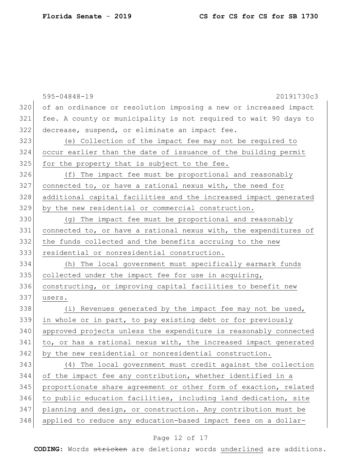|     | $595 - 04848 - 19$<br>20191730c3                                 |
|-----|------------------------------------------------------------------|
| 320 | of an ordinance or resolution imposing a new or increased impact |
| 321 | fee. A county or municipality is not required to wait 90 days to |
| 322 | decrease, suspend, or eliminate an impact fee.                   |
| 323 | (e) Collection of the impact fee may not be required to          |
| 324 | occur earlier than the date of issuance of the building permit   |
| 325 | for the property that is subject to the fee.                     |
| 326 | (f) The impact fee must be proportional and reasonably           |
| 327 | connected to, or have a rational nexus with, the need for        |
| 328 | additional capital facilities and the increased impact generated |
| 329 | by the new residential or commercial construction.               |
| 330 | (g) The impact fee must be proportional and reasonably           |
| 331 | connected to, or have a rational nexus with, the expenditures of |
| 332 | the funds collected and the benefits accruing to the new         |
| 333 | residential or nonresidential construction.                      |
| 334 | (h) The local government must specifically earmark funds         |
| 335 | collected under the impact fee for use in acquiring,             |
| 336 | constructing, or improving capital facilities to benefit new     |
| 337 | users.                                                           |
| 338 | (i) Revenues generated by the impact fee may not be used,        |
| 339 | in whole or in part, to pay existing debt or for previously      |
| 340 | approved projects unless the expenditure is reasonably connected |
| 341 | to, or has a rational nexus with, the increased impact generated |
| 342 | by the new residential or nonresidential construction.           |
| 343 | (4) The local government must credit against the collection      |
| 344 | of the impact fee any contribution, whether identified in a      |
| 345 | proportionate share agreement or other form of exaction, related |
| 346 | to public education facilities, including land dedication, site  |
| 347 | planning and design, or construction. Any contribution must be   |
| 348 | applied to reduce any education-based impact fees on a dollar-   |

# Page 12 of 17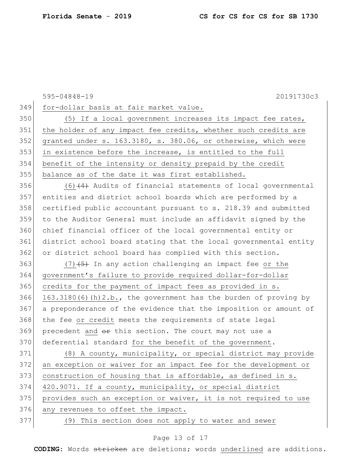595-04848-19 20191730c3 for-dollar basis at fair market value. 350 (5) If a local government increases its impact fee rates, 351 the holder of any impact fee credits, whether such credits are granted under s. 163.3180, s. 380.06, or otherwise, which were 353 in existence before the increase, is entitled to the full benefit of the intensity or density prepaid by the credit balance as of the date it was first established.  $(6)$   $(4)$  Audits of financial statements of local governmental entities and district school boards which are performed by a certified public accountant pursuant to s. 218.39 and submitted to the Auditor General must include an affidavit signed by the chief financial officer of the local governmental entity or district school board stating that the local governmental entity 362 or district school board has complied with this section.  $(7)$   $(5)$  In any action challenging an impact fee or the government's failure to provide required dollar-for-dollar credits for the payment of impact fees as provided in s. 366 163.3180(6)(h)2.b., the government has the burden of proving by a preponderance of the evidence that the imposition or amount of 368 the fee or credit meets the requirements of state legal precedent and  $\theta$  this section. The court may not use a 370 deferential standard for the benefit of the government. (8) A county, municipality, or special district may provide an exception or waiver for an impact fee for the development or 373 construction of housing that is affordable, as defined in s. 420.9071. If a county, municipality, or special district 375 provides such an exception or waiver, it is not required to use 376 any revenues to offset the impact. (9) This section does not apply to water and sewer

### Page 13 of 17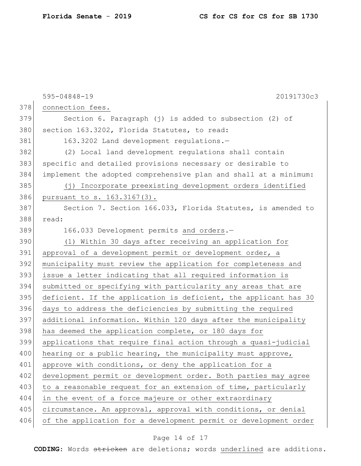|     | $595 - 04848 - 19$<br>20191730c3                                 |
|-----|------------------------------------------------------------------|
| 378 | connection fees.                                                 |
| 379 | Section 6. Paragraph (j) is added to subsection (2) of           |
| 380 | section 163.3202, Florida Statutes, to read:                     |
| 381 | 163.3202 Land development regulations.-                          |
| 382 | (2) Local land development requlations shall contain             |
| 383 | specific and detailed provisions necessary or desirable to       |
| 384 | implement the adopted comprehensive plan and shall at a minimum: |
| 385 | (j) Incorporate preexisting development orders identified        |
| 386 | pursuant to s. 163.3167(3).                                      |
| 387 | Section 7. Section 166.033, Florida Statutes, is amended to      |
| 388 | read:                                                            |
| 389 | 166.033 Development permits and orders.-                         |
| 390 | (1) Within 30 days after receiving an application for            |
| 391 | approval of a development permit or development order, a         |
| 392 | municipality must review the application for completeness and    |
| 393 | issue a letter indicating that all required information is       |
| 394 | submitted or specifying with particularity any areas that are    |
| 395 | deficient. If the application is deficient, the applicant has 30 |
| 396 | days to address the deficiencies by submitting the required      |
| 397 | additional information. Within 120 days after the municipality   |
| 398 | has deemed the application complete, or 180 days for             |
| 399 | applications that require final action through a quasi-judicial  |
| 400 | hearing or a public hearing, the municipality must approve,      |
| 401 | approve with conditions, or deny the application for a           |
| 402 | development permit or development order. Both parties may agree  |
| 403 | to a reasonable request for an extension of time, particularly   |
| 404 | in the event of a force majeure or other extraordinary           |
| 405 | circumstance. An approval, approval with conditions, or denial   |
| 406 | of the application for a development permit or development order |

# Page 14 of 17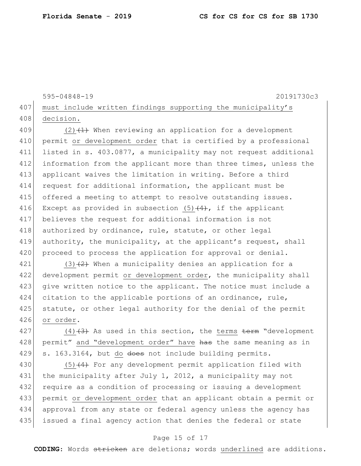```
595-04848-19 20191730c3
407 must include written findings supporting the municipality's
408 decision.
```
409 (2)  $(1)$  When reviewing an application for a development 410 permit or development order that is certified by a professional 411 listed in s. 403.0877, a municipality may not request additional 412 information from the applicant more than three times, unless the 413 applicant waives the limitation in writing. Before a third 414 request for additional information, the applicant must be 415 offered a meeting to attempt to resolve outstanding issues. 416 Except as provided in subsection  $(5)$  (4), if the applicant 417 believes the request for additional information is not 418 authorized by ordinance, rule, statute, or other legal 419 authority, the municipality, at the applicant's request, shall 420 proceed to process the application for approval or denial.

421 (3) $(2)$  When a municipality denies an application for a 422 development permit or development order, the municipality shall 423 give written notice to the applicant. The notice must include a 424 citation to the applicable portions of an ordinance, rule, 425 statute, or other legal authority for the denial of the permit 426 or order.

427 (4) $(3)$  As used in this section, the terms term "development" 428 permit" and "development order" have has the same meaning as in 429 s. 163.3164, but do does not include building permits.

 $(5)$   $(4)$  For any development permit application filed with 431 the municipality after July 1, 2012, a municipality may not 432 require as a condition of processing or issuing a development permit or development order that an applicant obtain a permit or approval from any state or federal agency unless the agency has issued a final agency action that denies the federal or state

### Page 15 of 17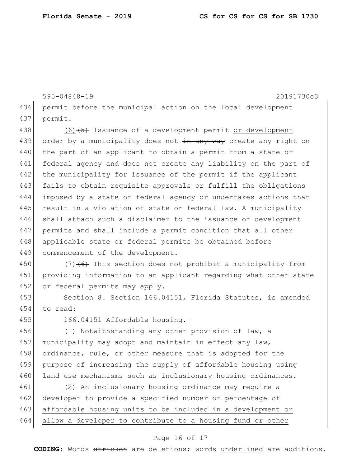595-04848-19 20191730c3 436 permit before the municipal action on the local development 437 permit. 438  $(6)$   $\leftarrow$  1ssuance of a development permit or development 439 order by a municipality does not in any way create any right on 440 the part of an applicant to obtain a permit from a state or 441 federal agency and does not create any liability on the part of 442 the municipality for issuance of the permit if the applicant 443 fails to obtain requisite approvals or fulfill the obligations 444 imposed by a state or federal agency or undertakes actions that 445 result in a violation of state or federal law. A municipality 446 shall attach such a disclaimer to the issuance of development 447 permits and shall include a permit condition that all other 448 applicable state or federal permits be obtained before 449 commencement of the development. 450 (7) $(6)$  This section does not prohibit a municipality from 451 providing information to an applicant regarding what other state 452 or federal permits may apply. 453 Section 8. Section 166.04151, Florida Statutes, is amended 454 to read: 455 166.04151 Affordable housing.-456 (1) Notwithstanding any other provision of law, a 457 municipality may adopt and maintain in effect any law, 458 ordinance, rule, or other measure that is adopted for the 459 purpose of increasing the supply of affordable housing using 460 land use mechanisms such as inclusionary housing ordinances. 461 (2) An inclusionary housing ordinance may require a 462 developer to provide a specified number or percentage of 463 affordable housing units to be included in a development or 464 allow a developer to contribute to a housing fund or other

### Page 16 of 17